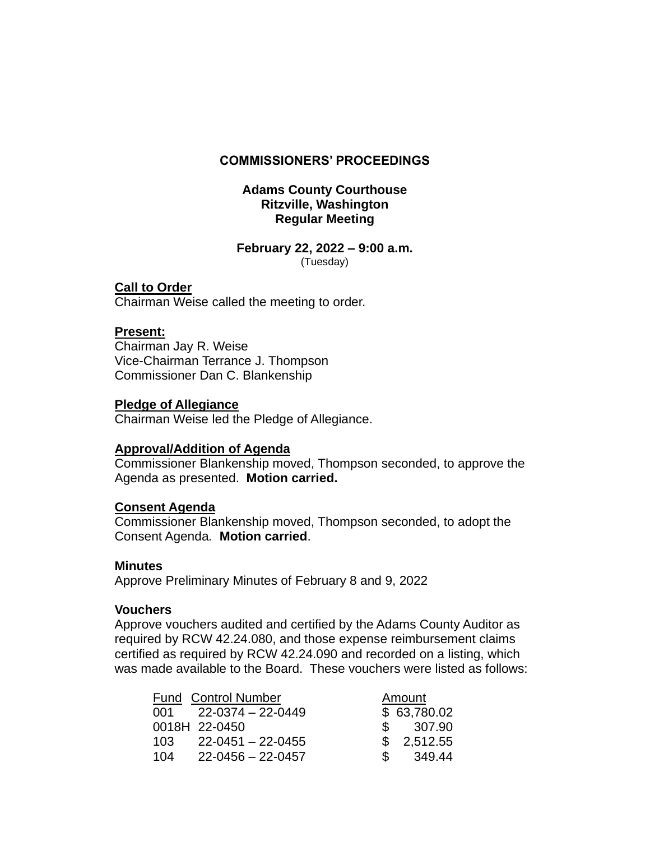### **COMMISSIONERS' PROCEEDINGS**

## **Adams County Courthouse Ritzville, Washington Regular Meeting**

### **February 22, 2022 – 9:00 a.m.** (Tuesday)

## **Call to Order**

Chairman Weise called the meeting to order.

# **Present:**

Chairman Jay R. Weise Vice-Chairman Terrance J. Thompson Commissioner Dan C. Blankenship

### **Pledge of Allegiance**

Chairman Weise led the Pledge of Allegiance.

# **Approval/Addition of Agenda**

Commissioner Blankenship moved, Thompson seconded, to approve the Agenda as presented. **Motion carried.**

# **Consent Agenda**

Commissioner Blankenship moved, Thompson seconded, to adopt the Consent Agenda*.* **Motion carried**.

### **Minutes**

Approve Preliminary Minutes of February 8 and 9, 2022

# **Vouchers**

Approve vouchers audited and certified by the Adams County Auditor as required by RCW 42.24.080, and those expense reimbursement claims certified as required by RCW 42.24.090 and recorded on a listing, which was made available to the Board. These vouchers were listed as follows:

| <b>Fund Control Number</b> |                         | Amount        |             |
|----------------------------|-------------------------|---------------|-------------|
|                            | $001$ $22-0374-22-0449$ |               | \$63,780.02 |
|                            | 0018H 22-0450           |               | \$307.90    |
| 103.                       | 22-0451 - 22-0455       |               | \$2,512.55  |
| 104                        | $22 - 0456 - 22 - 0457$ | $\mathcal{S}$ | 349.44      |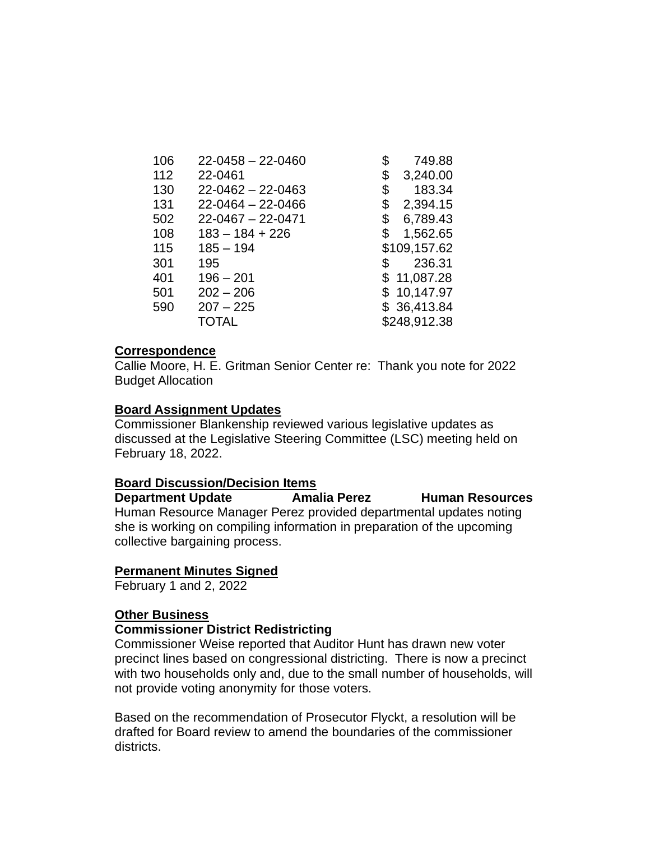| 106 | $22 - 0458 - 22 - 0460$ |     | 749.88       |
|-----|-------------------------|-----|--------------|
| 112 | 22-0461                 | \$  | 3,240.00     |
| 130 | $22 - 0462 - 22 - 0463$ | \$  | 183.34       |
| 131 | $22 - 0464 - 22 - 0466$ | \$  | 2,394.15     |
| 502 | $22 - 0467 - 22 - 0471$ | \$  | 6,789.43     |
| 108 | $183 - 184 + 226$       | \$  | 1,562.65     |
| 115 | $185 - 194$             |     | \$109,157.62 |
| 301 | 195                     | \$. | 236.31       |
| 401 | $196 - 201$             |     | \$11,087.28  |
| 501 | $202 - 206$             |     | \$10,147.97  |
| 590 | $207 - 225$             |     | \$36,413.84  |
|     | TOTAL                   |     | \$248,912.38 |

### **Correspondence**

Callie Moore, H. E. Gritman Senior Center re: Thank you note for 2022 Budget Allocation

### **Board Assignment Updates**

Commissioner Blankenship reviewed various legislative updates as discussed at the Legislative Steering Committee (LSC) meeting held on February 18, 2022.

#### **Board Discussion/Decision Items**

**Department Update Amalia Perez Human Resources** Human Resource Manager Perez provided departmental updates noting she is working on compiling information in preparation of the upcoming collective bargaining process.

#### **Permanent Minutes Signed**

February 1 and 2, 2022

#### **Other Business**

#### **Commissioner District Redistricting**

Commissioner Weise reported that Auditor Hunt has drawn new voter precinct lines based on congressional districting. There is now a precinct with two households only and, due to the small number of households, will not provide voting anonymity for those voters.

Based on the recommendation of Prosecutor Flyckt, a resolution will be drafted for Board review to amend the boundaries of the commissioner districts.